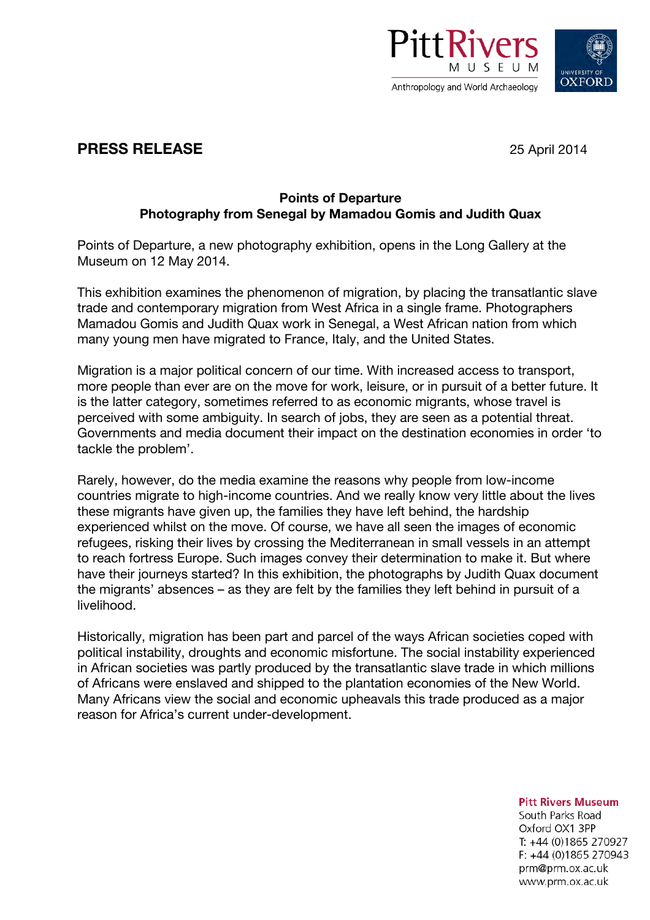



## **PRESS RELEASE** 25 April 2014

## **Points of Departure Photography from Senegal by Mamadou Gomis and Judith Quax**

Points of Departure, a new photography exhibition, opens in the Long Gallery at the Museum on 12 May 2014.

This exhibition examines the phenomenon of migration, by placing the transatlantic slave trade and contemporary migration from West Africa in a single frame. Photographers Mamadou Gomis and Judith Quax work in Senegal, a West African nation from which many young men have migrated to France, Italy, and the United States.

Migration is a major political concern of our time. With increased access to transport, more people than ever are on the move for work, leisure, or in pursuit of a better future. It is the latter category, sometimes referred to as economic migrants, whose travel is perceived with some ambiguity. In search of jobs, they are seen as a potential threat. Governments and media document their impact on the destination economies in order 'to tackle the problem'.

Rarely, however, do the media examine the reasons why people from low-income countries migrate to high-income countries. And we really know very little about the lives these migrants have given up, the families they have left behind, the hardship experienced whilst on the move. Of course, we have all seen the images of economic refugees, risking their lives by crossing the Mediterranean in small vessels in an attempt to reach fortress Europe. Such images convey their determination to make it. But where have their journeys started? In this exhibition, the photographs by Judith Quax document the migrants' absences – as they are felt by the families they left behind in pursuit of a livelihood.

Historically, migration has been part and parcel of the ways African societies coped with political instability, droughts and economic misfortune. The social instability experienced in African societies was partly produced by the transatlantic slave trade in which millions of Africans were enslaved and shipped to the plantation economies of the New World. Many Africans view the social and economic upheavals this trade produced as a major reason for Africa's current under-development.

**Pitt Rivers Museum** 

South Parks Road Oxford OX1 3PP T: +44 (0)1865 270927 F: +44 (0)1865 270943 prm@prm.ox.ac.uk www.prm.ox.ac.uk